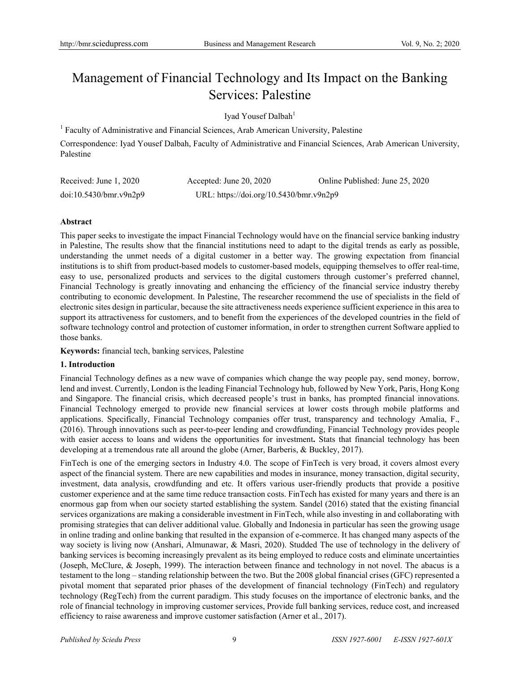# Management of Financial Technology and Its Impact on the Banking Services: Palestine

Iyad Yousef Dalbah<sup>1</sup>

<sup>1</sup> Faculty of Administrative and Financial Sciences, Arab American University, Palestine

Correspondence: Iyad Yousef Dalbah, Faculty of Administrative and Financial Sciences, Arab American University, Palestine

| Received: June 1, 2020 | Accepted: June 20, 2020                 | Online Published: June 25, 2020 |
|------------------------|-----------------------------------------|---------------------------------|
| doi:10.5430/bmr.v9n2p9 | URL: https://doi.org/10.5430/bmr.v9n2p9 |                                 |

# **Abstract**

This paper seeks to investigate the impact Financial Technology would have on the financial service banking industry in Palestine, The results show that the financial institutions need to adapt to the digital trends as early as possible, understanding the unmet needs of a digital customer in a better way. The growing expectation from financial institutions is to shift from product-based models to customer-based models, equipping themselves to offer real-time, easy to use, personalized products and services to the digital customers through customer's preferred channel, Financial Technology is greatly innovating and enhancing the efficiency of the financial service industry thereby contributing to economic development. In Palestine, The researcher recommend the use of specialists in the field of electronic sites design in particular, because the site attractiveness needs experience sufficient experience in this area to support its attractiveness for customers, and to benefit from the experiences of the developed countries in the field of software technology control and protection of customer information, in order to strengthen current Software applied to those banks.

**Keywords:** financial tech, banking services, Palestine

#### **1. Introduction**

Financial Technology defines as a new wave of companies which change the way people pay, send money, borrow, lend and invest. Currently, London is the leading Financial Technology hub, followed by New York, Paris, Hong Kong and Singapore. The financial crisis, which decreased people's trust in banks, has prompted financial innovations. Financial Technology emerged to provide new financial services at lower costs through mobile platforms and applications. Specifically, Financial Technology companies offer trust, transparency and technology Amalia, F., (2016). Through innovations such as peer-to-peer lending and crowdfunding, Financial Technology provides people with easier access to loans and widens the opportunities for investment**.** Stats that financial technology has been developing at a tremendous rate all around the globe (Arner, Barberis, & Buckley, 2017).

FinTech is one of the emerging sectors in Industry 4.0. The scope of FinTech is very broad, it covers almost every aspect of the financial system. There are new capabilities and modes in insurance, money transaction, digital security, investment, data analysis, crowdfunding and etc. It offers various user-friendly products that provide a positive customer experience and at the same time reduce transaction costs. FinTech has existed for many years and there is an enormous gap from when our society started establishing the system. Sandel (2016) stated that the existing financial services organizations are making a considerable investment in FinTech, while also investing in and collaborating with promising strategies that can deliver additional value. Globally and Indonesia in particular has seen the growing usage in online trading and online banking that resulted in the expansion of e-commerce. It has changed many aspects of the way society is living now (Anshari, Almunawar, & Masri, 2020). Studded The use of technology in the delivery of banking services is becoming increasingly prevalent as its being employed to reduce costs and eliminate uncertainties (Joseph, McClure, & Joseph, 1999). The interaction between finance and technology in not novel. The abacus is a testament to the long – standing relationship between the two. But the 2008 global financial crises (GFC) represented a pivotal moment that separated prior phases of the development of financial technology (FinTech) and regulatory technology (RegTech) from the current paradigm. This study focuses on the importance of electronic banks, and the role of financial technology in improving customer services, Provide full banking services, reduce cost, and increased efficiency to raise awareness and improve customer satisfaction (Arner et al., 2017).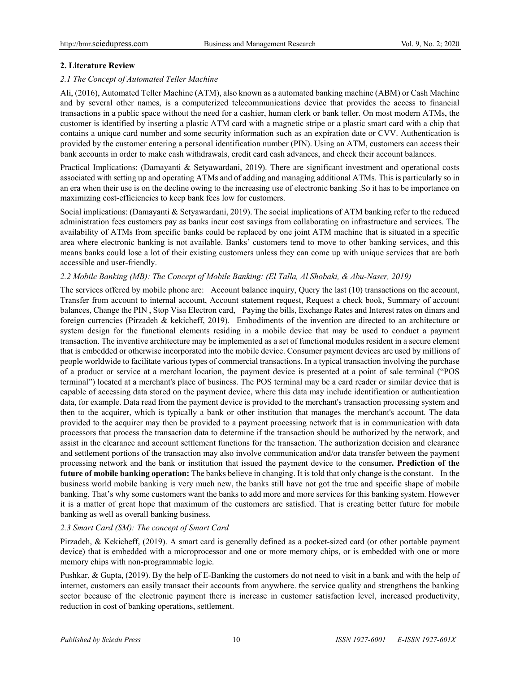#### **2. Literature Review**

#### *2.1 The Concept of Automated Teller Machine*

Ali, (2016), Automated Teller Machine (ATM), also known as a automated banking machine (ABM) or Cash Machine and by several other names, is a computerized telecommunications device that provides the access to financial transactions in a public space without the need for a cashier, human clerk or bank teller. On most modern ATMs, the customer is identified by inserting a plastic ATM card with a magnetic stripe or a plastic smart card with a chip that contains a unique card number and some security information such as an expiration date or CVV. Authentication is provided by the customer entering a personal identification number (PIN). Using an ATM, customers can access their bank accounts in order to make cash withdrawals, credit card cash advances, and check their account balances.

Practical Implications: (Damayanti & Setyawardani, 2019). There are significant investment and operational costs associated with setting up and operating ATMs and of adding and managing additional ATMs. This is particularly so in an era when their use is on the decline owing to the increasing use of electronic banking .So it has to be importance on maximizing cost-efficiencies to keep bank fees low for customers.

Social implications: (Damayanti & Setyawardani, 2019). The social implications of ATM banking refer to the reduced administration fees customers pay as banks incur cost savings from collaborating on infrastructure and services. The availability of ATMs from specific banks could be replaced by one joint ATM machine that is situated in a specific area where electronic banking is not available. Banks' customers tend to move to other banking services, and this means banks could lose a lot of their existing customers unless they can come up with unique services that are both accessible and user-friendly.

#### *2.2 Mobile Banking (MB): The Concept of Mobile Banking: (El Talla, Al Shobaki, & Abu-Naser, 2019)*

The services offered by mobile phone are: Account balance inquiry, Query the last (10) transactions on the account, Transfer from account to internal account, Account statement request, Request a check book, Summary of account balances, Change the PIN , Stop Visa Electron card, Paying the bills, Exchange Rates and Interest rates on dinars and foreign currencies (Pirzadeh & kekicheff, 2019). Embodiments of the invention are directed to an architecture or system design for the functional elements residing in a mobile device that may be used to conduct a payment transaction. The inventive architecture may be implemented as a set of functional modules resident in a secure element that is embedded or otherwise incorporated into the mobile device. Consumer payment devices are used by millions of people worldwide to facilitate various types of commercial transactions. In a typical transaction involving the purchase of a product or service at a merchant location, the payment device is presented at a point of sale terminal ("POS terminal") located at a merchant's place of business. The POS terminal may be a card reader or similar device that is capable of accessing data stored on the payment device, where this data may include identification or authentication data, for example. Data read from the payment device is provided to the merchant's transaction processing system and then to the acquirer, which is typically a bank or other institution that manages the merchant's account. The data provided to the acquirer may then be provided to a payment processing network that is in communication with data processors that process the transaction data to determine if the transaction should be authorized by the network, and assist in the clearance and account settlement functions for the transaction. The authorization decision and clearance and settlement portions of the transaction may also involve communication and/or data transfer between the payment processing network and the bank or institution that issued the payment device to the consumer**. Prediction of the future of mobile banking operation:** The banks believe in changing. It is told that only change is the constant. In the business world mobile banking is very much new, the banks still have not got the true and specific shape of mobile banking. That's why some customers want the banks to add more and more services for this banking system. However it is a matter of great hope that maximum of the customers are satisfied. That is creating better future for mobile banking as well as overall banking business.

#### *2.3 Smart Card (SM): The concept of Smart Card*

Pirzadeh, & Kekicheff, (2019). A smart card is generally defined as a pocket-sized card (or other portable payment device) that is embedded with a microprocessor and one or more memory chips, or is embedded with one or more memory chips with non-programmable logic.

Pushkar, & Gupta, (2019). By the help of E-Banking the customers do not need to visit in a bank and with the help of internet, customers can easily transact their accounts from anywhere. the service quality and strengthens the banking sector because of the electronic payment there is increase in customer satisfaction level, increased productivity, reduction in cost of banking operations, settlement.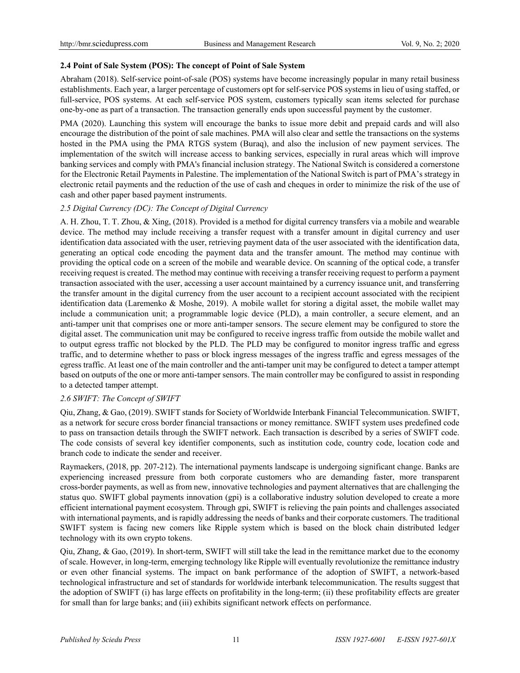## **2.4 Point of Sale System (POS): The concept of Point of Sale System**

Abraham (2018). Self-service point-of-sale (POS) systems have become increasingly popular in many retail business establishments. Each year, a larger percentage of customers opt for self-service POS systems in lieu of using staffed, or full-service, POS systems. At each self-service POS system, customers typically scan items selected for purchase one-by-one as part of a transaction. The transaction generally ends upon successful payment by the customer.

PMA (2020). Launching this system will encourage the banks to issue more debit and prepaid cards and will also encourage the distribution of the point of sale machines. PMA will also clear and settle the transactions on the systems hosted in the PMA using the PMA RTGS system (Buraq), and also the inclusion of new payment services. The implementation of the switch will increase access to banking services, especially in rural areas which will improve banking services and comply with PMA's financial inclusion strategy. The National Switch is considered a cornerstone for the Electronic Retail Payments in Palestine. The implementation of the National Switch is part of PMA's strategy in electronic retail payments and the reduction of the use of cash and cheques in order to minimize the risk of the use of cash and other paper based payment instruments.

#### *2.5 Digital Currency (DC): The Concept of Digital Currency*

A. H. Zhou, T. T. Zhou, & Xing, (2018). Provided is a method for digital currency transfers via a mobile and wearable device. The method may include receiving a transfer request with a transfer amount in digital currency and user identification data associated with the user, retrieving payment data of the user associated with the identification data, generating an optical code encoding the payment data and the transfer amount. The method may continue with providing the optical code on a screen of the mobile and wearable device. On scanning of the optical code, a transfer receiving request is created. The method may continue with receiving a transfer receiving request to perform a payment transaction associated with the user, accessing a user account maintained by a currency issuance unit, and transferring the transfer amount in the digital currency from the user account to a recipient account associated with the recipient identification data (Laremenko & Moshe, 2019). A mobile wallet for storing a digital asset, the mobile wallet may include a communication unit; a programmable logic device (PLD), a main controller, a secure element, and an anti-tamper unit that comprises one or more anti-tamper sensors. The secure element may be configured to store the digital asset. The communication unit may be configured to receive ingress traffic from outside the mobile wallet and to output egress traffic not blocked by the PLD. The PLD may be configured to monitor ingress traffic and egress traffic, and to determine whether to pass or block ingress messages of the ingress traffic and egress messages of the egress traffic. At least one of the main controller and the anti-tamper unit may be configured to detect a tamper attempt based on outputs of the one or more anti-tamper sensors. The main controller may be configured to assist in responding to a detected tamper attempt.

# *2.6 SWIFT: The Concept of SWIFT*

Qiu, Zhang, & Gao, (2019). SWIFT stands for Society of Worldwide Interbank Financial Telecommunication. SWIFT, as a network for secure cross border financial transactions or money remittance. SWIFT system uses predefined code to pass on transaction details through the SWIFT network. Each transaction is described by a series of SWIFT code. The code consists of several key identifier components, such as institution code, country code, location code and branch code to indicate the sender and receiver.

Raymaekers, (2018, pp. 207-212). The international payments landscape is undergoing significant change. Banks are experiencing increased pressure from both corporate customers who are demanding faster, more transparent cross-border payments, as well as from new, innovative technologies and payment alternatives that are challenging the status quo. SWIFT global payments innovation (gpi) is a collaborative industry solution developed to create a more efficient international payment ecosystem. Through gpi, SWIFT is relieving the pain points and challenges associated with international payments, and is rapidly addressing the needs of banks and their corporate customers. The traditional SWIFT system is facing new comers like Ripple system which is based on the block chain distributed ledger technology with its own crypto tokens.

Qiu, Zhang, & Gao, (2019). In short-term, SWIFT will still take the lead in the remittance market due to the economy of scale. However, in long-term, emerging technology like Ripple will eventually revolutionize the remittance industry or even other financial systems. The impact on bank performance of the adoption of SWIFT, a network-based technological infrastructure and set of standards for worldwide interbank telecommunication. The results suggest that the adoption of SWIFT (i) has large effects on profitability in the long-term; (ii) these profitability effects are greater for small than for large banks; and (iii) exhibits significant network effects on performance.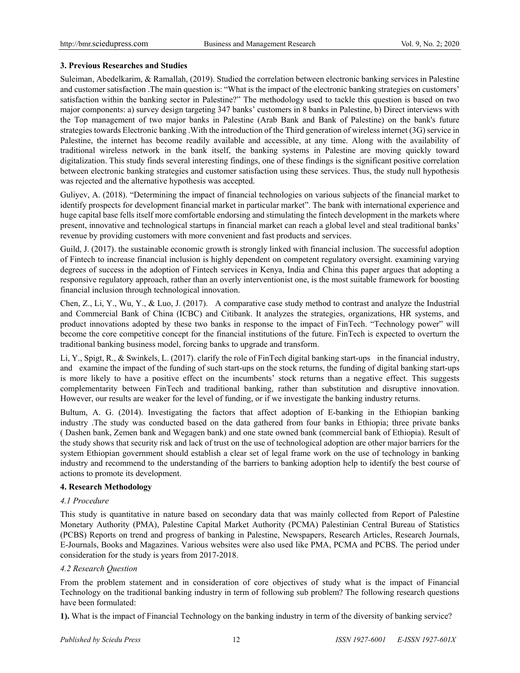# **3. Previous Researches and Studies**

Suleiman, Abedelkarim, & Ramallah, (2019). Studied the correlation between electronic banking services in Palestine and customer satisfaction .The main question is: "What is the impact of the electronic banking strategies on customers' satisfaction within the banking sector in Palestine?" The methodology used to tackle this question is based on two major components: a) survey design targeting 347 banks' customers in 8 banks in Palestine, b) Direct interviews with the Top management of two major banks in Palestine (Arab Bank and Bank of Palestine) on the bank's future strategies towards Electronic banking .With the introduction of the Third generation of wireless internet (3G) service in Palestine, the internet has become readily available and accessible, at any time. Along with the availability of traditional wireless network in the bank itself, the banking systems in Palestine are moving quickly toward digitalization. This study finds several interesting findings, one of these findings is the significant positive correlation between electronic banking strategies and customer satisfaction using these services. Thus, the study null hypothesis was rejected and the alternative hypothesis was accepted.

Guliyev, A. (2018). "Determining the impact of financial technologies on various subjects of the financial market to identify prospects for development financial market in particular market". The bank with international experience and huge capital base fells itself more comfortable endorsing and stimulating the fintech development in the markets where present, innovative and technological startups in financial market can reach a global level and steal traditional banks' revenue by providing customers with more convenient and fast products and services.

Guild, J. (2017). the sustainable economic growth is strongly linked with financial inclusion. The successful adoption of Fintech to increase financial inclusion is highly dependent on competent regulatory oversight. examining varying degrees of success in the adoption of Fintech services in Kenya, India and China this paper argues that adopting a responsive regulatory approach, rather than an overly interventionist one, is the most suitable framework for boosting financial inclusion through technological innovation.

Chen, Z., Li, Y., Wu, Y., & Luo, J. (2017).A comparative case study method to contrast and analyze the Industrial and Commercial Bank of China (ICBC) and Citibank. It analyzes the strategies, organizations, HR systems, and product innovations adopted by these two banks in response to the impact of FinTech. "Technology power" will become the core competitive concept for the financial institutions of the future. FinTech is expected to overturn the traditional banking business model, forcing banks to upgrade and transform.

Li, Y., Spigt, R., & Swinkels, L. (2017). clarify the role of FinTech digital banking start-ups in the financial industry, and examine the impact of the funding of such start-ups on the stock returns, the funding of digital banking start-ups is more likely to have a positive effect on the incumbents' stock returns than a negative effect. This suggests complementarity between FinTech and traditional banking, rather than substitution and disruptive innovation. However, our results are weaker for the level of funding, or if we investigate the banking industry returns.

Bultum, A. G. (2014). Investigating the factors that affect adoption of E-banking in the Ethiopian banking industry .The study was conducted based on the data gathered from four banks in Ethiopia; three private banks ( Dashen bank, Zemen bank and Wegagen bank) and one state owned bank (commercial bank of Ethiopia). Result of the study shows that security risk and lack of trust on the use of technological adoption are other major barriers for the system Ethiopian government should establish a clear set of legal frame work on the use of technology in banking industry and recommend to the understanding of the barriers to banking adoption help to identify the best course of actions to promote its development.

#### **4. Research Methodology**

#### *4.1 Procedure*

This study is quantitative in nature based on secondary data that was mainly collected from Report of Palestine Monetary Authority (PMA), Palestine Capital Market Authority (PCMA) Palestinian Central Bureau of Statistics (PCBS) Reports on trend and progress of banking in Palestine, Newspapers, Research Articles, Research Journals, E-Journals, Books and Magazines. Various websites were also used like PMA, PCMA and PCBS. The period under consideration for the study is years from 2017-2018.

# *4.2 Research Question*

From the problem statement and in consideration of core objectives of study what is the impact of Financial Technology on the traditional banking industry in term of following sub problem? The following research questions have been formulated:

**1).** What is the impact of Financial Technology on the banking industry in term of the diversity of banking service?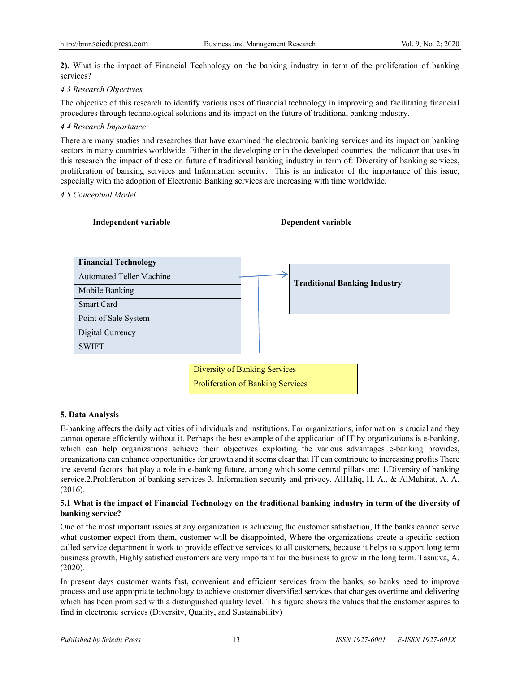**2).** What is the impact of Financial Technology on the banking industry in term of the proliferation of banking services?

# *4.3 Research Objectives*

The objective of this research to identify various uses of financial technology in improving and facilitating financial procedures through technological solutions and its impact on the future of traditional banking industry.

## *4.4 Research Importance*

There are many studies and researches that have examined the electronic banking services and its impact on banking sectors in many countries worldwide. Either in the developing or in the developed countries, the indicator that uses in this research the impact of these on future of traditional banking industry in term of: Diversity of banking services, proliferation of banking services and Information security. This is an indicator of the importance of this issue, especially with the adoption of Electronic Banking services are increasing with time worldwide.

#### *4.5 Conceptual Model*



Proliferation of Banking Services

# **5. Data Analysis**

E-banking affects the daily activities of individuals and institutions. For organizations, information is crucial and they cannot operate efficiently without it. Perhaps the best example of the application of IT by organizations is e-banking, which can help organizations achieve their objectives exploiting the various advantages e-banking provides, organizations can enhance opportunities for growth and it seems clear that IT can contribute to increasing profits There are several factors that play a role in e-banking future, among which some central pillars are: 1.Diversity of banking service.2.Proliferation of banking services 3. Information security and privacy. AlHaliq, H. A., & AlMuhirat, A. A. (2016).

#### **5.1 What is the impact of Financial Technology on the traditional banking industry in term of the diversity of banking service?**

One of the most important issues at any organization is achieving the customer satisfaction, If the banks cannot serve what customer expect from them, customer will be disappointed, Where the organizations create a specific section called service department it work to provide effective services to all customers, because it helps to support long term business growth, Highly satisfied customers are very important for the business to grow in the long term. Tasnuva, A. (2020).

In present days customer wants fast, convenient and efficient services from the banks, so banks need to improve process and use appropriate technology to achieve customer diversified services that changes overtime and delivering which has been promised with a distinguished quality level. This figure shows the values that the customer aspires to find in electronic services (Diversity, Quality, and Sustainability)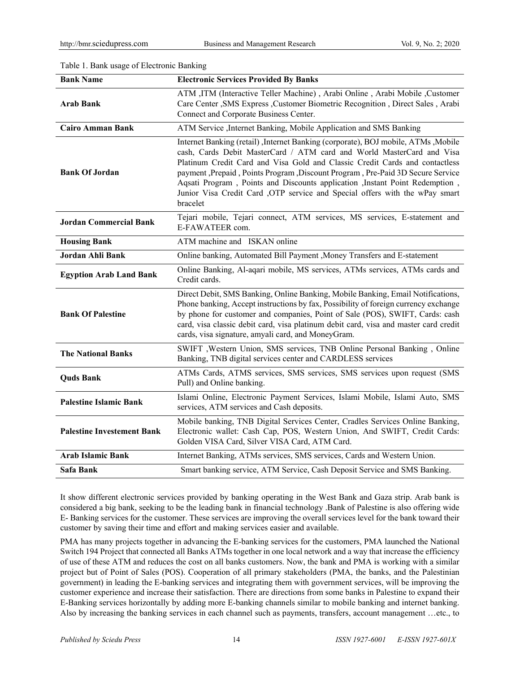| <b>Bank Name</b>                  | <b>Electronic Services Provided By Banks</b>                                                                                                                                                                                                                                                                                                                                                                                                                                                            |
|-----------------------------------|---------------------------------------------------------------------------------------------------------------------------------------------------------------------------------------------------------------------------------------------------------------------------------------------------------------------------------------------------------------------------------------------------------------------------------------------------------------------------------------------------------|
| <b>Arab Bank</b>                  | ATM ,ITM (Interactive Teller Machine), Arabi Online, Arabi Mobile, Customer<br>Care Center , SMS Express , Customer Biometric Recognition , Direct Sales , Arabi<br>Connect and Corporate Business Center.                                                                                                                                                                                                                                                                                              |
| <b>Cairo Amman Bank</b>           | ATM Service , Internet Banking, Mobile Application and SMS Banking                                                                                                                                                                                                                                                                                                                                                                                                                                      |
| <b>Bank Of Jordan</b>             | Internet Banking (retail), Internet Banking (corporate), BOJ mobile, ATMs, Mobile<br>cash, Cards Debit MasterCard / ATM card and World MasterCard and Visa<br>Platinum Credit Card and Visa Gold and Classic Credit Cards and contactless<br>payment , Prepaid, Points Program, Discount Program, Pre-Paid 3D Secure Service<br>Aqsati Program, Points and Discounts application, Instant Point Redemption,<br>Junior Visa Credit Card , OTP service and Special offers with the wPay smart<br>bracelet |
| <b>Jordan Commercial Bank</b>     | Tejari mobile, Tejari connect, ATM services, MS services, E-statement and<br>E-FAWATEER com.                                                                                                                                                                                                                                                                                                                                                                                                            |
| <b>Housing Bank</b>               | ATM machine and ISKAN online                                                                                                                                                                                                                                                                                                                                                                                                                                                                            |
| Jordan Ahli Bank                  | Online banking, Automated Bill Payment , Money Transfers and E-statement                                                                                                                                                                                                                                                                                                                                                                                                                                |
| <b>Egyption Arab Land Bank</b>    | Online Banking, Al-aqari mobile, MS services, ATMs services, ATMs cards and<br>Credit cards.                                                                                                                                                                                                                                                                                                                                                                                                            |
| <b>Bank Of Palestine</b>          | Direct Debit, SMS Banking, Online Banking, Mobile Banking, Email Notifications,<br>Phone banking, Accept instructions by fax, Possibility of foreign currency exchange<br>by phone for customer and companies, Point of Sale (POS), SWIFT, Cards: cash<br>card, visa classic debit card, visa platinum debit card, visa and master card credit<br>cards, visa signature, amyali card, and MoneyGram.                                                                                                    |
| <b>The National Banks</b>         | SWIFT , Western Union, SMS services, TNB Online Personal Banking, Online<br>Banking, TNB digital services center and CARDLESS services                                                                                                                                                                                                                                                                                                                                                                  |
| <b>Quds Bank</b>                  | ATMs Cards, ATMS services, SMS services, SMS services upon request (SMS<br>Pull) and Online banking.                                                                                                                                                                                                                                                                                                                                                                                                    |
| <b>Palestine Islamic Bank</b>     | Islami Online, Electronic Payment Services, Islami Mobile, Islami Auto, SMS<br>services, ATM services and Cash deposits.                                                                                                                                                                                                                                                                                                                                                                                |
| <b>Palestine Investement Bank</b> | Mobile banking, TNB Digital Services Center, Cradles Services Online Banking,<br>Electronic wallet: Cash Cap, POS, Western Union, And SWIFT, Credit Cards:<br>Golden VISA Card, Silver VISA Card, ATM Card.                                                                                                                                                                                                                                                                                             |
| <b>Arab Islamic Bank</b>          | Internet Banking, ATMs services, SMS services, Cards and Western Union.                                                                                                                                                                                                                                                                                                                                                                                                                                 |
| Safa Bank                         | Smart banking service, ATM Service, Cash Deposit Service and SMS Banking.                                                                                                                                                                                                                                                                                                                                                                                                                               |

Table 1. Bank usage of Electronic Banking

It show different electronic services provided by banking operating in the West Bank and Gaza strip. Arab bank is considered a big bank, seeking to be the leading bank in financial technology .Bank of Palestine is also offering wide E- Banking services for the customer. These services are improving the overall services level for the bank toward their customer by saving their time and effort and making services easier and available.

PMA has many projects together in advancing the E-banking services for the customers, PMA launched the National Switch 194 Project that connected all Banks ATMs together in one local network and a way that increase the efficiency of use of these ATM and reduces the cost on all banks customers. Now, the bank and PMA is working with a similar project but of Point of Sales (POS). Cooperation of all primary stakeholders (PMA, the banks, and the Palestinian government) in leading the E-banking services and integrating them with government services, will be improving the customer experience and increase their satisfaction. There are directions from some banks in Palestine to expand their E-Banking services horizontally by adding more E-banking channels similar to mobile banking and internet banking. Also by increasing the banking services in each channel such as payments, transfers, account management …etc., to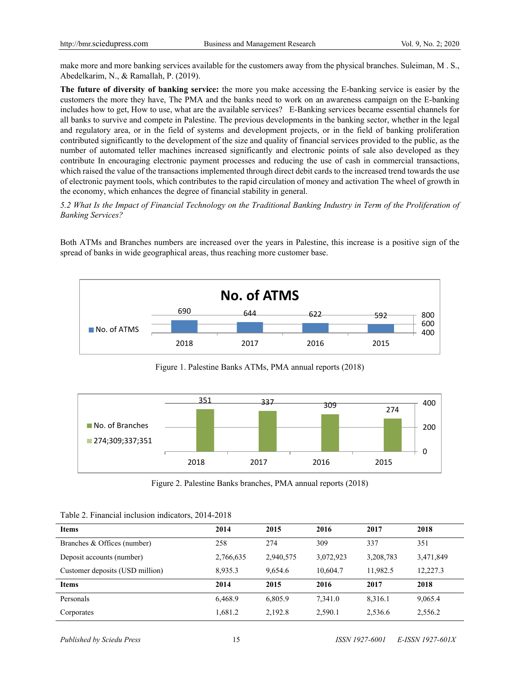make more and more banking services available for the customers away from the physical branches. Suleiman, M . S., Abedelkarim, N., & Ramallah, P. (2019).

**The future of diversity of banking service:** the more you make accessing the E-banking service is easier by the customers the more they have, The PMA and the banks need to work on an awareness campaign on the E-banking includes how to get, How to use, what are the available services? E-Banking services became essential channels for all banks to survive and compete in Palestine. The previous developments in the banking sector, whether in the legal and regulatory area, or in the field of systems and development projects, or in the field of banking proliferation contributed significantly to the development of the size and quality of financial services provided to the public, as the number of automated teller machines increased significantly and electronic points of sale also developed as they contribute In encouraging electronic payment processes and reducing the use of cash in commercial transactions, which raised the value of the transactions implemented through direct debit cards to the increased trend towards the use of electronic payment tools, which contributes to the rapid circulation of money and activation The wheel of growth in the economy, which enhances the degree of financial stability in general.

*5.2 What Is the Impact of Financial Technology on the Traditional Banking Industry in Term of the Proliferation of Banking Services?*

Both ATMs and Branches numbers are increased over the years in Palestine, this increase is a positive sign of the spread of banks in wide geographical areas, thus reaching more customer base.



Figure 1. Palestine Banks ATMs, PMA annual reports (2018)



Figure 2. Palestine Banks branches, PMA annual reports (2018)

| Table 2. Financial inclusion indicators, 2014-2018 |  |  |  |
|----------------------------------------------------|--|--|--|
|----------------------------------------------------|--|--|--|

| <b>Items</b>                    | 2014      | 2015      | 2016      | 2017      | 2018      |
|---------------------------------|-----------|-----------|-----------|-----------|-----------|
| Branches & Offices (number)     | 258       | 274       | 309       | 337       | 351       |
| Deposit accounts (number)       | 2,766,635 | 2,940,575 | 3,072,923 | 3,208,783 | 3,471,849 |
| Customer deposits (USD million) | 8.935.3   | 9.654.6   | 10.604.7  | 11.982.5  | 12,227.3  |
| <b>Items</b>                    | 2014      | 2015      | 2016      | 2017      | 2018      |
| Personals                       | 6,468.9   | 6,805.9   | 7.341.0   | 8.316.1   | 9,065.4   |
| Corporates                      | 1.681.2   | 2,192.8   | 2,590.1   | 2,536.6   | 2,556.2   |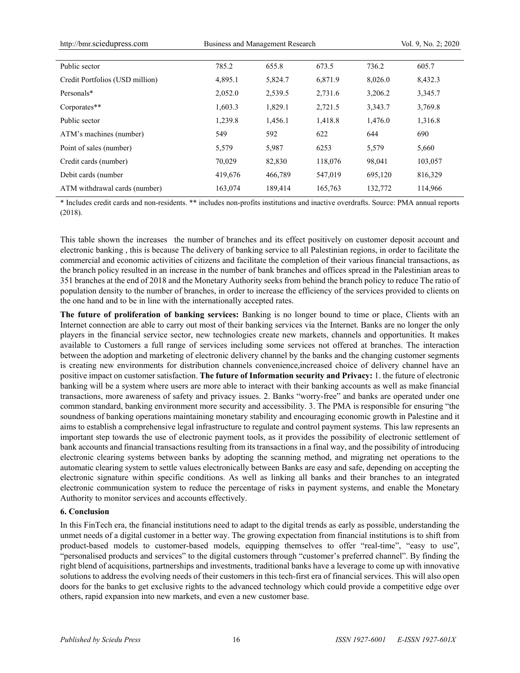| http://bmr.sciedupress.com      | Business and Management Research |         |         |         | Vol. 9, No. 2; 2020 |
|---------------------------------|----------------------------------|---------|---------|---------|---------------------|
| Public sector                   | 785.2                            | 655.8   | 673.5   | 736.2   | 605.7               |
| Credit Portfolios (USD million) | 4,895.1                          | 5,824.7 | 6,871.9 | 8,026.0 | 8,432.3             |
| Personals*                      | 2,052.0                          | 2,539.5 | 2,731.6 | 3,206.2 | 3,345.7             |
| Corporates**                    | 1,603.3                          | 1,829.1 | 2,721.5 | 3,343.7 | 3,769.8             |
| Public sector                   | 1,239.8                          | 1,456.1 | 1,418.8 | 1,476.0 | 1,316.8             |
| ATM's machines (number)         | 549                              | 592     | 622     | 644     | 690                 |
| Point of sales (number)         | 5,579                            | 5,987   | 6253    | 5,579   | 5,660               |
| Credit cards (number)           | 70,029                           | 82,830  | 118,076 | 98,041  | 103,057             |
| Debit cards (number             | 419,676                          | 466,789 | 547,019 | 695,120 | 816,329             |
| ATM withdrawal cards (number)   | 163,074                          | 189.414 | 165,763 | 132,772 | 114.966             |

\* Includes credit cards and non-residents. \*\* includes non-profits institutions and inactive overdrafts. Source: PMA annual reports (2018).

This table shown the increases the number of branches and its effect positively on customer deposit account and electronic banking , this is because The delivery of banking service to all Palestinian regions, in order to facilitate the commercial and economic activities of citizens and facilitate the completion of their various financial transactions, as the branch policy resulted in an increase in the number of bank branches and offices spread in the Palestinian areas to 351 branches at the end of 2018 and the Monetary Authority seeks from behind the branch policy to reduce The ratio of population density to the number of branches, in order to increase the efficiency of the services provided to clients on the one hand and to be in line with the internationally accepted rates.

**The future of proliferation of banking services:** Banking is no longer bound to time or place, Clients with an Internet connection are able to carry out most of their banking services via the Internet. Banks are no longer the only players in the financial service sector, new technologies create new markets, channels and opportunities. It makes available to Customers a full range of services including some services not offered at branches. The interaction between the adoption and marketing of electronic delivery channel by the banks and the changing customer segments is creating new environments for distribution channels convenience,increased choice of delivery channel have an positive impact on customer satisfaction. **The future of Information security and Privacy:** 1. the future of electronic banking will be a system where users are more able to interact with their banking accounts as well as make financial transactions, more awareness of safety and privacy issues. 2. Banks "worry-free" and banks are operated under one common standard, banking environment more security and accessibility. 3. The PMA is responsible for ensuring "the soundness of banking operations maintaining monetary stability and encouraging economic growth in Palestine and it aims to establish a comprehensive legal infrastructure to regulate and control payment systems. This law represents an important step towards the use of electronic payment tools, as it provides the possibility of electronic settlement of bank accounts and financial transactions resulting from its transactions in a final way, and the possibility of introducing electronic clearing systems between banks by adopting the scanning method, and migrating net operations to the automatic clearing system to settle values electronically between Banks are easy and safe, depending on accepting the electronic signature within specific conditions. As well as linking all banks and their branches to an integrated electronic communication system to reduce the percentage of risks in payment systems, and enable the Monetary Authority to monitor services and accounts effectively.

#### **6. Conclusion**

In this FinTech era, the financial institutions need to adapt to the digital trends as early as possible, understanding the unmet needs of a digital customer in a better way. The growing expectation from financial institutions is to shift from product-based models to customer-based models, equipping themselves to offer "real-time", "easy to use", "personalised products and services" to the digital customers through "customer's preferred channel". By finding the right blend of acquisitions, partnerships and investments, traditional banks have a leverage to come up with innovative solutions to address the evolving needs of their customers in this tech-first era of financial services. This will also open doors for the banks to get exclusive rights to the advanced technology which could provide a competitive edge over others, rapid expansion into new markets, and even a new customer base.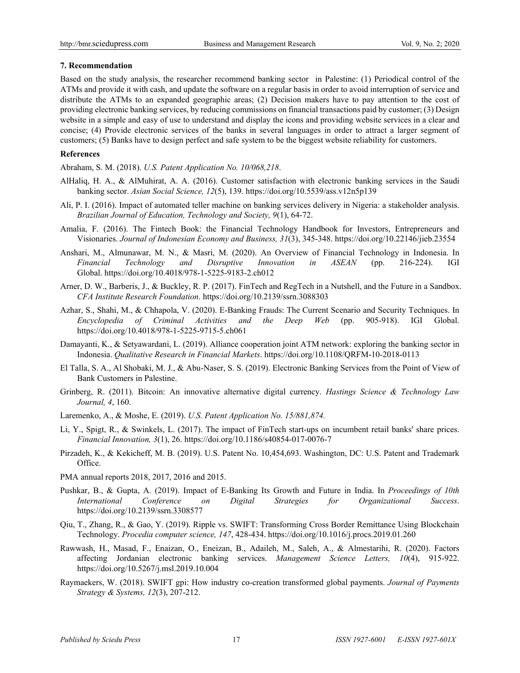#### **7. Recommendation**

Based on the study analysis, the researcher recommend banking sector in Palestine: (1) Periodical control of the ATMs and provide it with cash, and update the software on a regular basis in order to avoid interruption of service and distribute the ATMs to an expanded geographic areas; (2) Decision makers have to pay attention to the cost of providing electronic banking services, by reducing commissions on financial transactions paid by customer; (3) Design website in a simple and easy of use to understand and display the icons and providing website services in a clear and concise; (4) Provide electronic services of the banks in several languages in order to attract a larger segment of customers; (5) Banks have to design perfect and safe system to be the biggest website reliability for customers.

#### **References**

Abraham, S. M. (2018). *U.S. Patent Application No. 10/068,218*.

- AlHaliq, H. A., & AlMuhirat, A. A. (2016). Customer satisfaction with electronic banking services in the Saudi banking sector. *Asian Social Science, 12*(5), 139. https://doi.org/10.5539/ass.v12n5p139
- Ali, P. I. (2016). Impact of automated teller machine on banking services delivery in Nigeria: a stakeholder analysis. *Brazilian Journal of Education, Technology and Society, 9*(1), 64-72.
- Amalia, F. (2016). The Fintech Book: the Financial Technology Handbook for Investors, Entrepreneurs and Visionaries. *Journal of Indonesian Economy and Business, 31*(3), 345-348. https://doi.org/10.22146/jieb.23554
- Anshari, M., Almunawar, M. N., & Masri, M. (2020). An Overview of Financial Technology in Indonesia. In *Financial Technology and Disruptive Innovation in ASEAN* (pp. 216-224). IGI Global. https://doi.org/10.4018/978-1-5225-9183-2.ch012
- Arner, D. W., Barberis, J., & Buckley, R. P. (2017). FinTech and RegTech in a Nutshell, and the Future in a Sandbox. *CFA Institute Research Foundation*. https://doi.org/10.2139/ssrn.3088303
- Azhar, S., Shahi, M., & Chhapola, V. (2020). E-Banking Frauds: The Current Scenario and Security Techniques. In *Encyclopedia of Criminal Activities and the Deep Web* (pp. 905-918). IGI Global. https://doi.org/10.4018/978-1-5225-9715-5.ch061
- Damayanti, K., & Setyawardani, L. (2019). Alliance cooperation joint ATM network: exploring the banking sector in Indonesia. *Qualitative Research in Financial Markets*. https://doi.org/10.1108/QRFM-10-2018-0113
- El Talla, S. A., Al Shobaki, M. J., & Abu-Naser, S. S. (2019). Electronic Banking Services from the Point of View of Bank Customers in Palestine.
- Grinberg, R. (2011). Bitcoin: An innovative alternative digital currency. *Hastings Science & Technology Law Journal, 4*, 160.
- Laremenko, A., & Moshe, E. (2019). *U.S. Patent Application No. 15/881,874.*
- Li, Y., Spigt, R., & Swinkels, L. (2017). The impact of FinTech start-ups on incumbent retail banks' share prices. *Financial Innovation, 3*(1), 26. https://doi.org/10.1186/s40854-017-0076-7
- Pirzadeh, K., & Kekicheff, M. B. (2019). U.S. Patent No. 10,454,693. Washington, DC: U.S. Patent and Trademark Office.
- PMA annual reports 2018, 2017, 2016 and 2015.
- Pushkar, B., & Gupta, A. (2019). Impact of E-Banking Its Growth and Future in India. In *Proceedings of 10th International Conference on Digital Strategies for Organizational Success*. https://doi.org/10.2139/ssrn.3308577
- Qiu, T., Zhang, R., & Gao, Y. (2019). Ripple vs. SWIFT: Transforming Cross Border Remittance Using Blockchain Technology. *Procedia computer science, 147*, 428-434. https://doi.org/10.1016/j.procs.2019.01.260
- Rawwash, H., Masad, F., Enaizan, O., Eneizan, B., Adaileh, M., Saleh, A., & Almestarihi, R. (2020). Factors affecting Jordanian electronic banking services. *Management Science Letters, 10*(4), 915-922. https://doi.org/10.5267/j.msl.2019.10.004
- Raymaekers, W. (2018). SWIFT gpi: How industry co-creation transformed global payments. *Journal of Payments Strategy & Systems, 12*(3), 207-212.